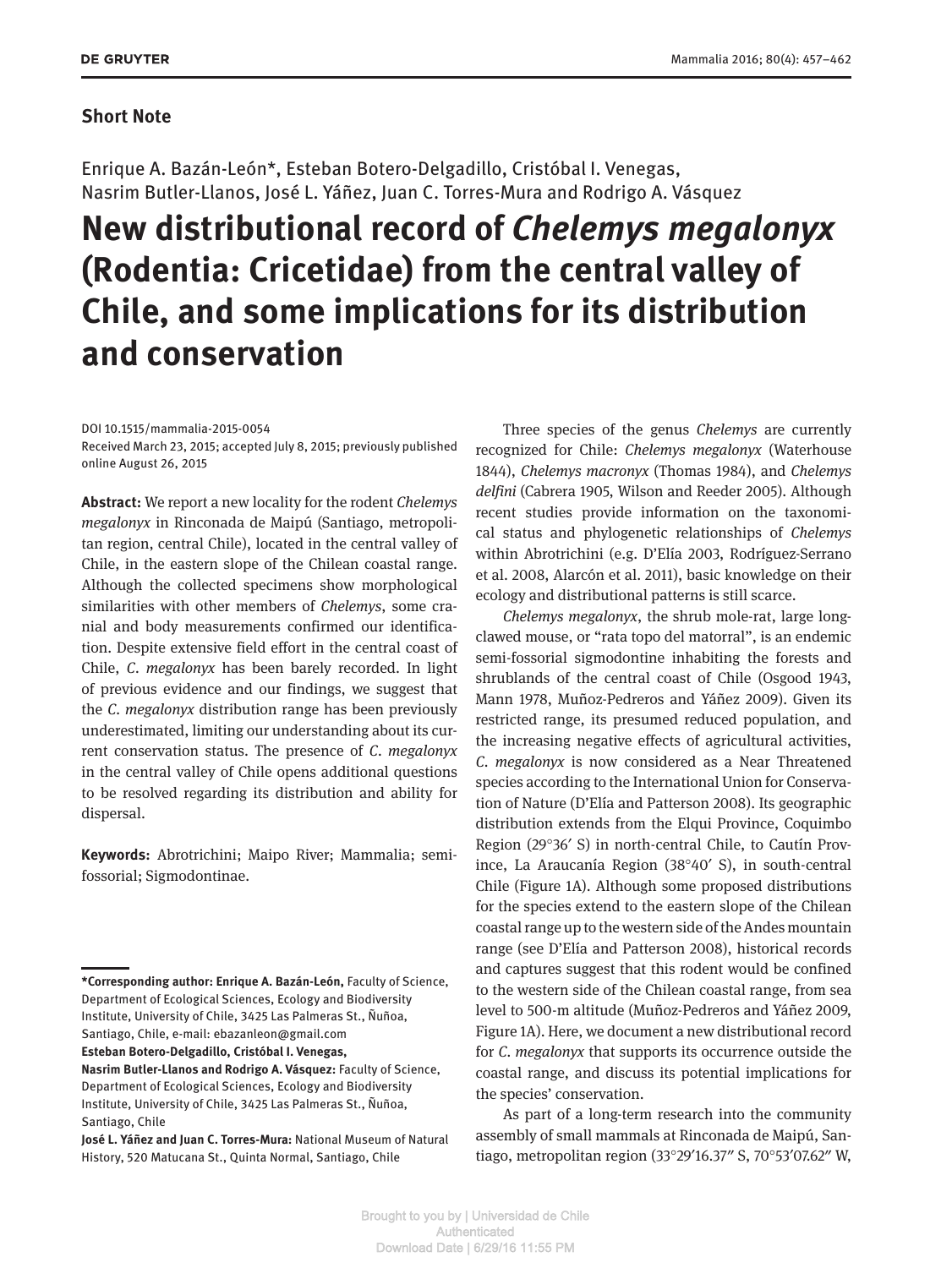## **Short Note**

Enrique A. Bazán-León\*, Esteban Botero-Delgadillo, Cristóbal I. Venegas, Nasrim Butler-Llanos, José L. Yáñez, Juan C. Torres-Mura and Rodrigo A. Vásquez

## **New distributional record of** *Chelemys megalonyx* **(Rodentia: Cricetidae) from the central valley of Chile, and some implications for its distribution and conservation**

DOI 10.1515/mammalia-2015-0054 Received March 23, 2015; accepted July 8, 2015; previously published online August 26, 2015

**Abstract:** We report a new locality for the rodent *Chelemys megalonyx* in Rinconada de Maipú (Santiago, metropolitan region, central Chile), located in the central valley of Chile, in the eastern slope of the Chilean coastal range. Although the collected specimens show morphological similarities with other members of *Chelemys*, some cranial and body measurements confirmed our identification. Despite extensive field effort in the central coast of Chile, *C. megalonyx* has been barely recorded. In light of previous evidence and our findings, we suggest that the *C. megalonyx* distribution range has been previously underestimated, limiting our understanding about its current conservation status. The presence of *C. megalonyx* in the central valley of Chile opens additional questions to be resolved regarding its distribution and ability for dispersal.

**Keywords:** Abrotrichini; Maipo River; Mammalia; semifossorial; Sigmodontinae.

**Esteban Botero-Delgadillo, Cristóbal I. Venegas,** 

Three species of the genus *Chelemys* are currently recognized for Chile: *Chelemys megalonyx* (Waterhouse 1844), *Chelemys macronyx* (Thomas 1984), and *Chelemys delfini* (Cabrera 1905, Wilson and Reeder 2005). Although recent studies provide information on the taxonomical status and phylogenetic relationships of *Chelemys* within Abrotrichini (e.g. D'Elía 2003, Rodríguez-Serrano et al. 2008, Alarcón et al. 2011), basic knowledge on their ecology and distributional patterns is still scarce.

*Chelemys megalonyx*, the shrub mole-rat, large longclawed mouse, or "rata topo del matorral", is an endemic semi-fossorial sigmodontine inhabiting the forests and shrublands of the central coast of Chile (Osgood 1943, Mann 1978, Muñoz-Pedreros and Yáñez 2009). Given its restricted range, its presumed reduced population, and the increasing negative effects of agricultural activities, *C. megalonyx* is now considered as a Near Threatened species according to the International Union for Conservation of Nature (D'Elía and Patterson 2008). Its geographic distribution extends from the Elqui Province, Coquimbo Region (29°36′ S) in north-central Chile, to Cautín Province, La Araucanía Region (38°40′ S), in south-central Chile (Figure 1A). Although some proposed distributions for the species extend to the eastern slope of the Chilean coastal range up to the western side of the Andes mountain range (see D'Elía and Patterson 2008), historical records and captures suggest that this rodent would be confined to the western side of the Chilean coastal range, from sea level to 500-m altitude (Muñoz-Pedreros and Yáñez 2009, Figure 1A). Here, we document a new distributional record for *C. megalonyx* that supports its occurrence outside the coastal range, and discuss its potential implications for the species' conservation.

As part of a long-term research into the community assembly of small mammals at Rinconada de Maipú, Santiago, metropolitan region (33°29′16.37″ S, 70°53′07.62″ W,

**<sup>\*</sup>Corresponding author: Enrique A. Bazán-León,** Faculty of Science, Department of Ecological Sciences, Ecology and Biodiversity Institute, University of Chile, 3425 Las Palmeras St., Ñuñoa, Santiago, Chile, e-mail: ebazanleon@gmail.com

**Nasrim Butler-Llanos and Rodrigo A. Vásquez:** Faculty of Science, Department of Ecological Sciences, Ecology and Biodiversity Institute, University of Chile, 3425 Las Palmeras St., Ñuñoa, Santiago, Chile

**José L. Yáñez and Juan C. Torres-Mura:** National Museum of Natural History, 520 Matucana St., Quinta Normal, Santiago, Chile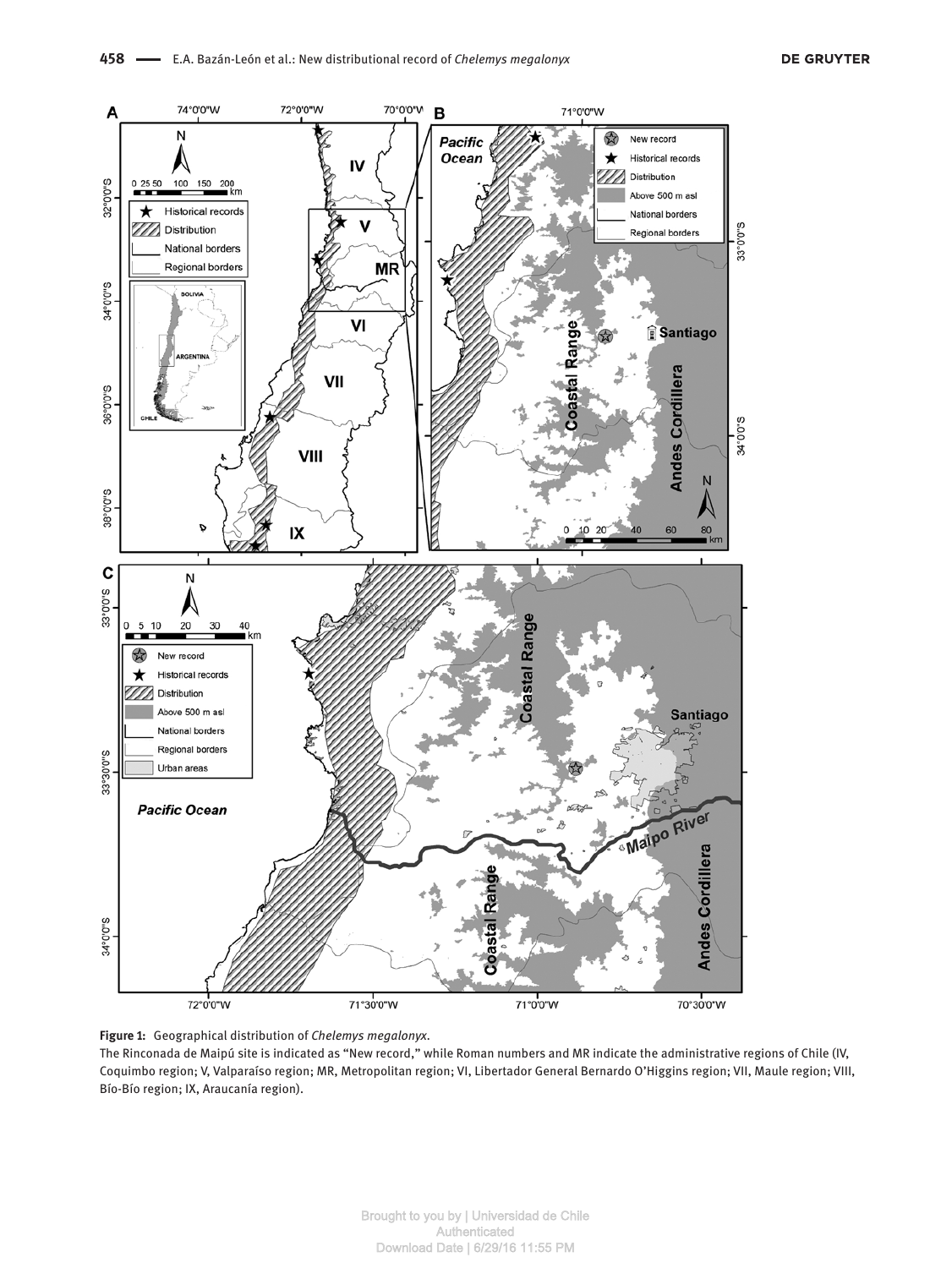

**Figure 1:** Geographical distribution of *Chelemys megalonyx*.

The Rinconada de Maipú site is indicated as "New record," while Roman numbers and MR indicate the administrative regions of Chile (IV, Coquimbo region; V, Valparaíso region; MR, Metropolitan region; VI, Libertador General Bernardo O'Higgins region; VII, Maule region; VIII, Bío-Bío region; IX, Araucanía region).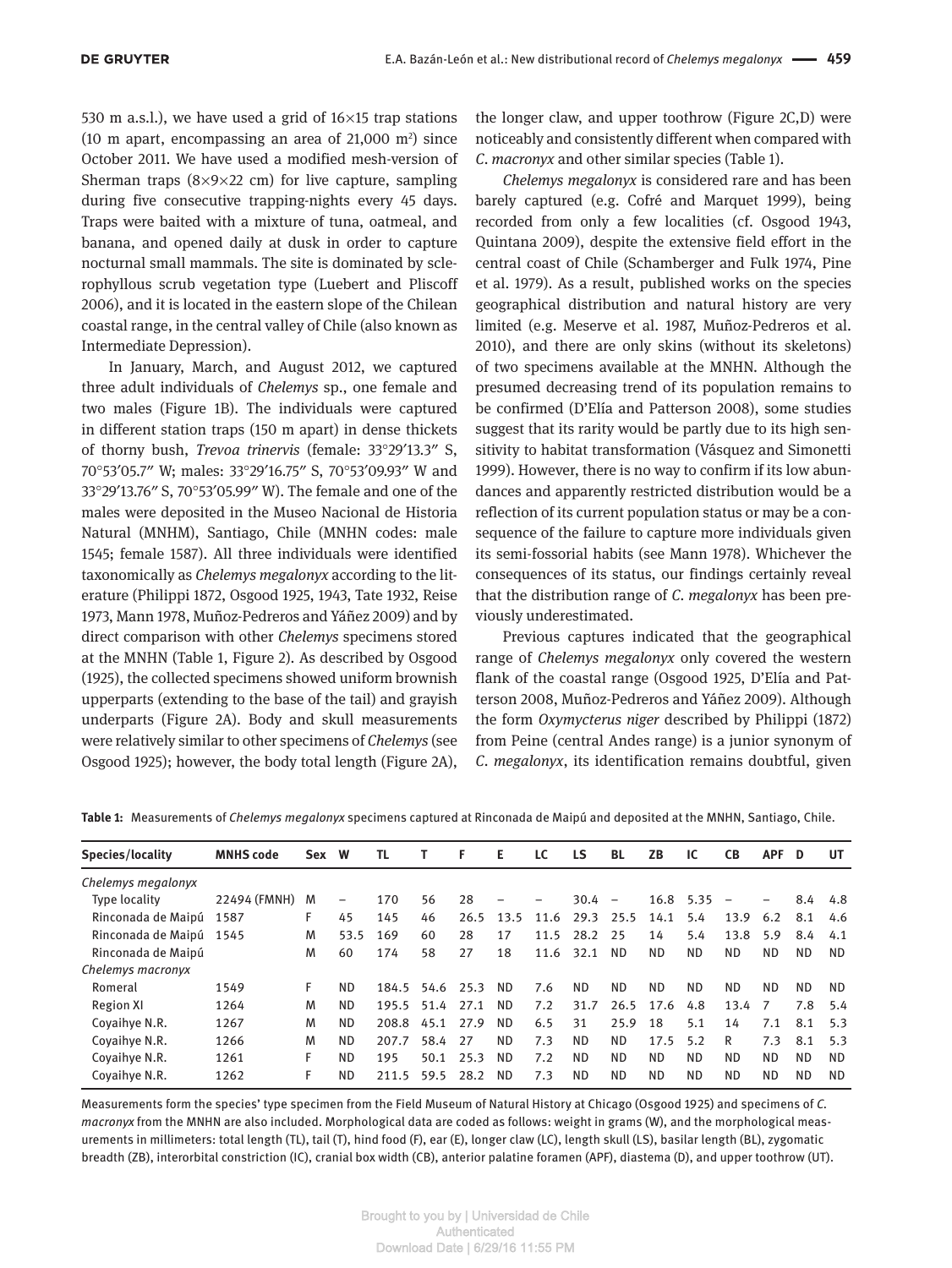530 m a.s.l.), we have used a grid of  $16\times15$  trap stations (10 m apart, encompassing an area of  $21,000$  m<sup>2</sup>) since October 2011. We have used a modified mesh-version of Sherman traps  $(8\times9\times22$  cm) for live capture, sampling during five consecutive trapping-nights every 45 days. Traps were baited with a mixture of tuna, oatmeal, and banana, and opened daily at dusk in order to capture nocturnal small mammals. The site is dominated by sclerophyllous scrub vegetation type (Luebert and Pliscoff 2006), and it is located in the eastern slope of the Chilean coastal range, in the central valley of Chile (also known as Intermediate Depression).

In January, March, and August 2012, we captured three adult individuals of *Chelemys* sp., one female and two males (Figure 1B). The individuals were captured in different station traps (150 m apart) in dense thickets of thorny bush, *Trevoa trinervis* (female: 33°29′13.3″ S, 70°53′05.7″ W; males: 33°29′16.75″ S, 70°53′09.93″ W and 33°29′13.76″ S, 70°53′05.99″ W). The female and one of the males were deposited in the Museo Nacional de Historia Natural (MNHM), Santiago, Chile (MNHN codes: male 1545; female 1587). All three individuals were identified taxonomically as *Chelemys megalonyx* according to the literature (Philippi 1872, Osgood 1925, 1943, Tate 1932, Reise 1973, Mann 1978, Muñoz-Pedreros and Yáñez 2009) and by direct comparison with other *Chelemys* specimens stored at the MNHN (Table 1, Figure 2). As described by Osgood (1925), the collected specimens showed uniform brownish upperparts (extending to the base of the tail) and grayish underparts (Figure 2A). Body and skull measurements were relatively similar to other specimens of *Chelemys* (see Osgood 1925); however, the body total length (Figure 2A),

the longer claw, and upper toothrow (Figure 2C,D) were noticeably and consistently different when compared with *C. macronyx* and other similar species (Table 1).

*Chelemys megalonyx* is considered rare and has been barely captured (e.g. Cofré and Marquet 1999), being recorded from only a few localities (cf. Osgood 1943, Quintana 2009), despite the extensive field effort in the central coast of Chile (Schamberger and Fulk 1974, Pine et al. 1979). As a result, published works on the species geographical distribution and natural history are very limited (e.g. Meserve et al. 1987, Muñoz-Pedreros et al. 2010), and there are only skins (without its skeletons) of two specimens available at the MNHN. Although the presumed decreasing trend of its population remains to be confirmed (D'Elía and Patterson 2008), some studies suggest that its rarity would be partly due to its high sensitivity to habitat transformation (Vásquez and Simonetti 1999). However, there is no way to confirm if its low abundances and apparently restricted distribution would be a reflection of its current population status or may be a consequence of the failure to capture more individuals given its semi-fossorial habits (see Mann 1978). Whichever the consequences of its status, our findings certainly reveal that the distribution range of *C. megalonyx* has been previously underestimated.

Previous captures indicated that the geographical range of *Chelemys megalonyx* only covered the western flank of the coastal range (Osgood 1925, D'Elía and Patterson 2008, Muñoz-Pedreros and Yáñez 2009). Although the form *Oxymycterus niger* described by Philippi (1872) from Peine (central Andes range) is a junior synonym of *C. megalonyx*, its identification remains doubtful, given

| Species/locality   | <b>MNHS</b> code | <b>Sex</b> | W         | TL    |      | F    | Е         | LC   | LS        | BL                       | ZΒ        | ıс        | <b>CB</b> | <b>APF</b> | D         | UT        |
|--------------------|------------------|------------|-----------|-------|------|------|-----------|------|-----------|--------------------------|-----------|-----------|-----------|------------|-----------|-----------|
| Chelemys megalonyx |                  |            |           |       |      |      |           |      |           |                          |           |           |           |            |           |           |
| Type locality      | 22494 (FMNH)     | M          | -         | 170   | 56   | 28   |           |      | 30.4      | $\overline{\phantom{a}}$ | 16.8      | 5.35      | -         | -          | 8.4       | 4.8       |
| Rinconada de Maipú | 1587             | F          | 45        | 145   | 46   | 26.5 | 13.5      | 11.6 | 29.3      | 25.5                     | 14.1      | 5.4       | 13.9      | 6.2        | 8.1       | 4.6       |
| Rinconada de Maipú | 1545             | M          | 53.5      | 169   | 60   | 28   | 17        | 11.5 | 28.2      | 25                       | 14        | 5.4       | 13.8      | 5.9        | 8.4       | 4.1       |
| Rinconada de Maipú |                  | M          | 60        | 174   | 58   | 27   | 18        | 11.6 | 32.1      | <b>ND</b>                | <b>ND</b> | <b>ND</b> | <b>ND</b> | <b>ND</b>  | ND.       | ND.       |
| Chelemys macronyx  |                  |            |           |       |      |      |           |      |           |                          |           |           |           |            |           |           |
| Romeral            | 1549             | F          | <b>ND</b> | 184.5 | 54.6 | 25.3 | <b>ND</b> | 7.6  | ND.       | <b>ND</b>                | <b>ND</b> | <b>ND</b> | ND.       | <b>ND</b>  | <b>ND</b> | ND.       |
| <b>Region XI</b>   | 1264             | M          | <b>ND</b> | 195.5 | 51.4 | 27.1 | <b>ND</b> | 7.2  | 31.7      | 26.5                     | 17.6      | 4.8       | 13.4      |            | 7.8       | 5.4       |
| Covaihye N.R.      | 1267             | M          | <b>ND</b> | 208.8 | 45.1 | 27.9 | <b>ND</b> | 6.5  | 31        | 25.9                     | 18        | 5.1       | 14        | 7.1        | 8.1       | 5.3       |
| Covaihye N.R.      | 1266             | M          | <b>ND</b> | 207.7 | 58.4 | 27   | ND.       | 7.3  | <b>ND</b> | ND.                      | 17.5      | 5.2       | R         | 7.3        | 8.1       | 5.3       |
| Covaihye N.R.      | 1261             | F          | <b>ND</b> | 195   | 50.1 | 25.3 | <b>ND</b> | 7.2  | <b>ND</b> | ND.                      | <b>ND</b> | <b>ND</b> | ND.       | <b>ND</b>  | ND.       | <b>ND</b> |
| Covaihye N.R.      | 1262             |            | <b>ND</b> | 211.5 | 59.5 | 28.2 | <b>ND</b> | 7.3  | <b>ND</b> | ND.                      | <b>ND</b> | <b>ND</b> | <b>ND</b> | <b>ND</b>  | ND.       | ND.       |
|                    |                  |            |           |       |      |      |           |      |           |                          |           |           |           |            |           |           |

**Table 1:** Measurements of *Chelemys megalonyx* specimens captured at Rinconada de Maipú and deposited at the MNHN, Santiago, Chile.

Measurements form the species' type specimen from the Field Museum of Natural History at Chicago (Osgood 1925) and specimens of *C. macronyx* from the MNHN are also included. Morphological data are coded as follows: weight in grams (W), and the morphological measurements in millimeters: total length (TL), tail (T), hind food (F), ear (E), longer claw (LC), length skull (LS), basilar length (BL), zygomatic breadth (ZB), interorbital constriction (IC), cranial box width (CB), anterior palatine foramen (APF), diastema (D), and upper toothrow (UT).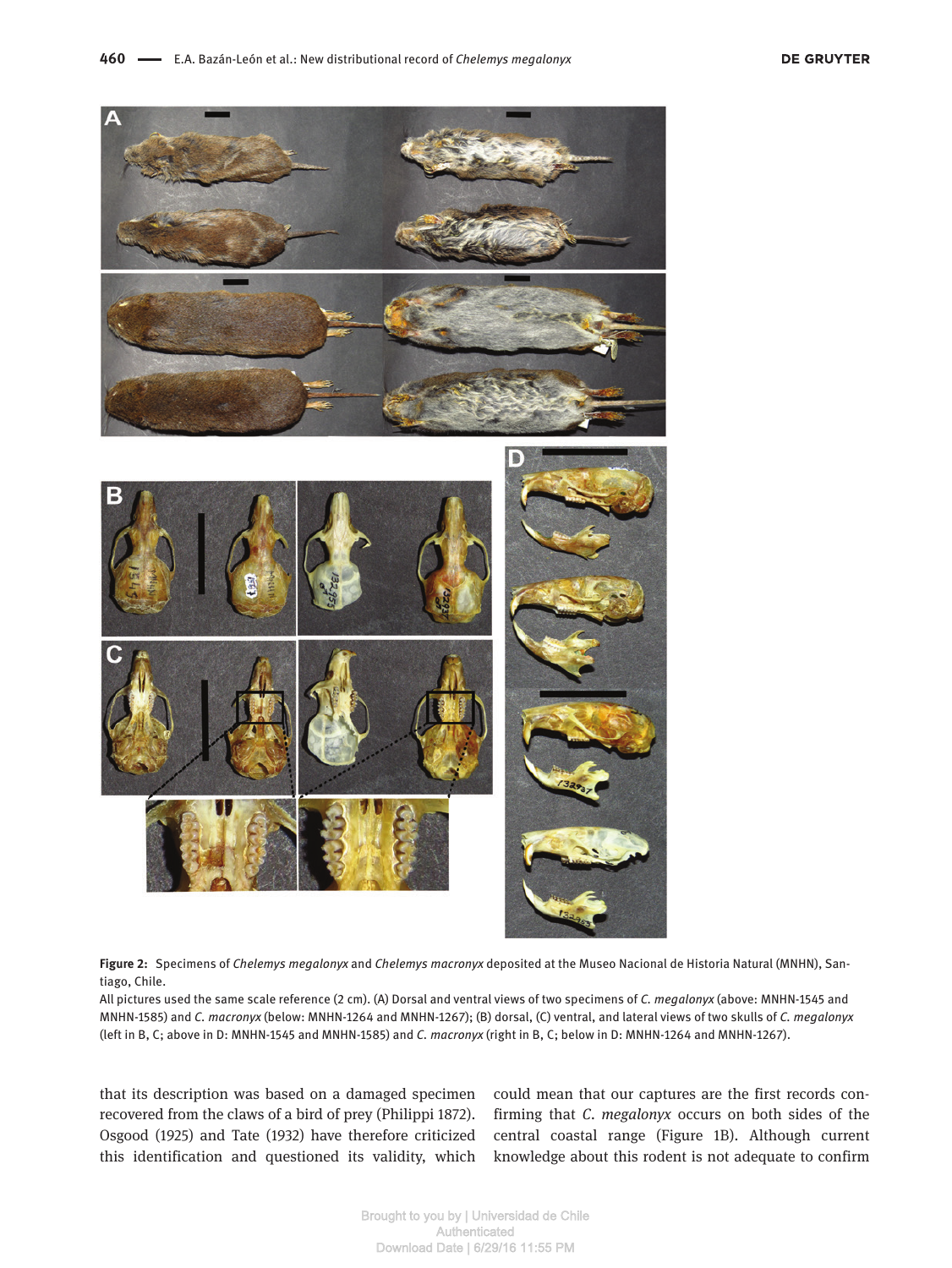

**Figure 2:** Specimens of *Chelemys megalonyx* and *Chelemys macronyx* deposited at the Museo Nacional de Historia Natural (MNHN), Santiago, Chile.

All pictures used the same scale reference (2 cm). (A) Dorsal and ventral views of two specimens of *C. megalonyx* (above: MNHN-1545 and MNHN-1585) and *C. macronyx* (below: MNHN-1264 and MNHN-1267); (B) dorsal, (C) ventral, and lateral views of two skulls of *C. megalonyx* (left in B, C; above in D: MNHN-1545 and MNHN-1585) and *C. macronyx* (right in B, C; below in D: MNHN-1264 and MNHN-1267).

that its description was based on a damaged specimen recovered from the claws of a bird of prey (Philippi 1872). Osgood (1925) and Tate (1932) have therefore criticized this identification and questioned its validity, which could mean that our captures are the first records confirming that *C. megalonyx* occurs on both sides of the central coastal range (Figure 1B). Although current knowledge about this rodent is not adequate to confirm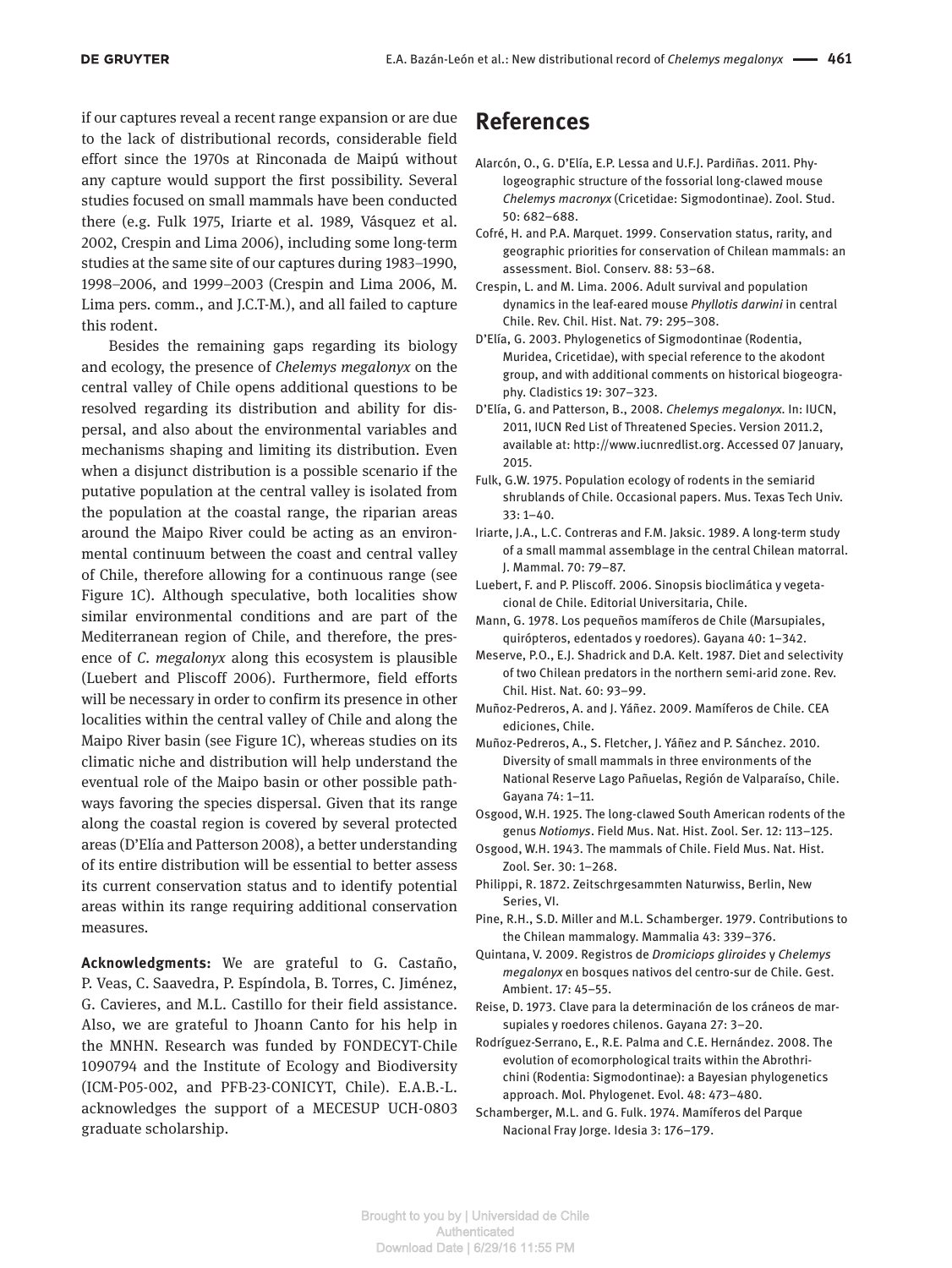if our captures reveal a recent range expansion or are due to the lack of distributional records, considerable field effort since the 1970s at Rinconada de Maipú without any capture would support the first possibility. Several studies focused on small mammals have been conducted there (e.g. Fulk 1975, Iriarte et al. 1989, Vásquez et al. 2002, Crespin and Lima 2006), including some long-term studies at the same site of our captures during 1983–1990, 1998–2006, and 1999–2003 (Crespin and Lima 2006, M. Lima pers. comm., and J.C.T-M.), and all failed to capture this rodent.

Besides the remaining gaps regarding its biology and ecology, the presence of *Chelemys megalonyx* on the central valley of Chile opens additional questions to be resolved regarding its distribution and ability for dispersal, and also about the environmental variables and mechanisms shaping and limiting its distribution. Even when a disjunct distribution is a possible scenario if the putative population at the central valley is isolated from the population at the coastal range, the riparian areas around the Maipo River could be acting as an environmental continuum between the coast and central valley of Chile, therefore allowing for a continuous range (see Figure 1C). Although speculative, both localities show similar environmental conditions and are part of the Mediterranean region of Chile, and therefore, the presence of *C. megalonyx* along this ecosystem is plausible (Luebert and Pliscoff 2006). Furthermore, field efforts will be necessary in order to confirm its presence in other localities within the central valley of Chile and along the Maipo River basin (see Figure 1C), whereas studies on its climatic niche and distribution will help understand the eventual role of the Maipo basin or other possible pathways favoring the species dispersal. Given that its range along the coastal region is covered by several protected areas (D'Elía and Patterson 2008), a better understanding of its entire distribution will be essential to better assess its current conservation status and to identify potential areas within its range requiring additional conservation measures.

**Acknowledgments:** We are grateful to G. Castaño, P. Veas, C. Saavedra, P. Espíndola, B. Torres, C. Jiménez, G. Cavieres, and M.L. Castillo for their field assistance. Also, we are grateful to Jhoann Canto for his help in the MNHN. Research was funded by FONDECYT-Chile 1090794 and the Institute of Ecology and Biodiversity (ICM-P05-002, and PFB-23-CONICYT, Chile). E.A.B.-L. acknowledges the support of a MECESUP UCH-0803 graduate scholarship.

## **References**

- Alarcón, O., G. D'Elía, E.P. Lessa and U.F.J. Pardiñas. 2011. Phylogeographic structure of the fossorial long-clawed mouse *Chelemys macronyx* (Cricetidae: Sigmodontinae). Zool. Stud. 50: 682–688.
- Cofré, H. and P.A. Marquet. 1999. Conservation status, rarity, and geographic priorities for conservation of Chilean mammals: an assessment. Biol. Conserv. 88: 53–68.
- Crespin, L. and M. Lima. 2006. Adult survival and population dynamics in the leaf-eared mouse *Phyllotis darwini* in central Chile. Rev. Chil. Hist. Nat. 79: 295–308.
- D'Elía, G. 2003. Phylogenetics of Sigmodontinae (Rodentia, Muridea, Cricetidae), with special reference to the akodont group, and with additional comments on historical biogeography. Cladistics 19: 307–323.
- D'Elía, G. and Patterson, B., 2008. *Chelemys megalonyx*. In: IUCN, 2011, IUCN Red List of Threatened Species. Version 2011.2, available at: <http://www.iucnredlist.org>. Accessed 07 January, 2015.
- Fulk, G.W. 1975. Population ecology of rodents in the semiarid shrublands of Chile. Occasional papers. Mus. Texas Tech Univ. 33: 1–40.
- Iriarte, J.A., L.C. Contreras and F.M. Jaksic. 1989. A long-term study of a small mammal assemblage in the central Chilean matorral. J. Mammal. 70: 79–87.
- Luebert, F. and P. Pliscoff. 2006. Sinopsis bioclimática y vegetacional de Chile. Editorial Universitaria, Chile.
- Mann, G. 1978. Los pequeños mamíferos de Chile (Marsupiales, quirópteros, edentados y roedores). Gayana 40: 1–342.
- Meserve, P.O., E.J. Shadrick and D.A. Kelt. 1987. Diet and selectivity of two Chilean predators in the northern semi-arid zone. Rev. Chil. Hist. Nat. 60: 93–99.
- Muñoz-Pedreros, A. and J. Yáñez. 2009. Mamíferos de Chile. CEA ediciones, Chile.

Muñoz-Pedreros, A., S. Fletcher, J. Yáñez and P. Sánchez. 2010. Diversity of small mammals in three environments of the National Reserve Lago Pañuelas, Región de Valparaíso, Chile. Gayana 74: 1–11.

Osgood, W.H. 1925. The long-clawed South American rodents of the genus *Notiomys*. Field Mus. Nat. Hist. Zool. Ser. 12: 113–125.

- Osgood, W.H. 1943. The mammals of Chile. Field Mus. Nat. Hist. Zool. Ser. 30: 1–268.
- Philippi, R. 1872. Zeitschrgesammten Naturwiss, Berlin, New Series, VI.
- Pine, R.H., S.D. Miller and M.L. Schamberger. 1979. Contributions to the Chilean mammalogy. Mammalia 43: 339–376.

Quintana, V. 2009. Registros de *Dromiciops gliroides* y *Chelemys megalonyx* en bosques nativos del centro-sur de Chile. Gest. Ambient. 17: 45–55.

Reise, D. 1973. Clave para la determinación de los cráneos de marsupiales y roedores chilenos. Gayana 27: 3–20.

Rodríguez-Serrano, E., R.E. Palma and C.E. Hernández. 2008. The evolution of ecomorphological traits within the Abrothrichini (Rodentia: Sigmodontinae): a Bayesian phylogenetics approach. Mol. Phylogenet. Evol. 48: 473–480.

Schamberger, M.L. and G. Fulk. 1974. Mamíferos del Parque Nacional Fray Jorge. Idesia 3: 176–179.